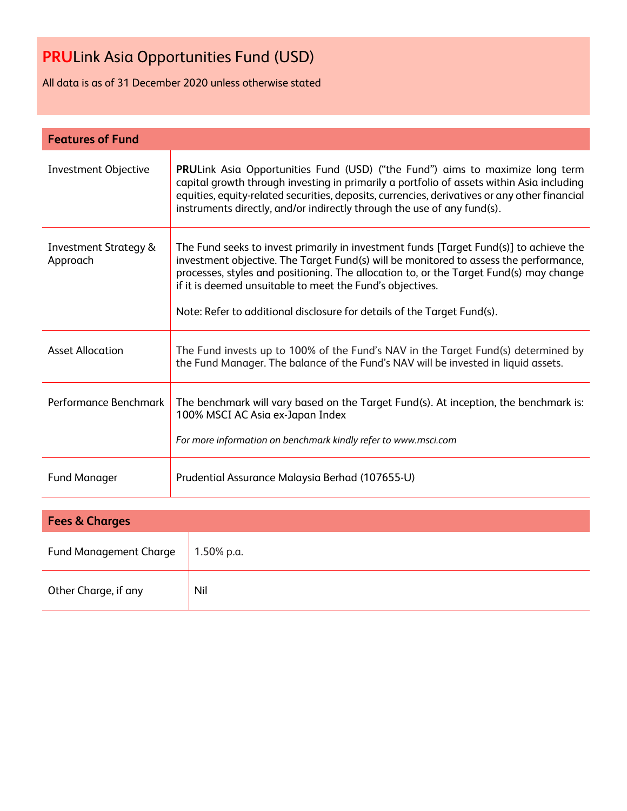All data is as of 31 December 2020 unless otherwise stated

| <b>Features of Fund</b>                      |                                                                                                                                                                                                                                                                                                                                                                                                                   |  |  |  |
|----------------------------------------------|-------------------------------------------------------------------------------------------------------------------------------------------------------------------------------------------------------------------------------------------------------------------------------------------------------------------------------------------------------------------------------------------------------------------|--|--|--|
| <b>Investment Objective</b>                  | <b>PRULink Asia Opportunities Fund (USD) ("the Fund") aims to maximize long term</b><br>capital growth through investing in primarily a portfolio of assets within Asia including<br>equities, equity-related securities, deposits, currencies, derivatives or any other financial<br>instruments directly, and/or indirectly through the use of any fund(s).                                                     |  |  |  |
| <b>Investment Strategy &amp;</b><br>Approach | The Fund seeks to invest primarily in investment funds [Target Fund(s)] to achieve the<br>investment objective. The Target Fund(s) will be monitored to assess the performance,<br>processes, styles and positioning. The allocation to, or the Target Fund(s) may change<br>if it is deemed unsuitable to meet the Fund's objectives.<br>Note: Refer to additional disclosure for details of the Target Fund(s). |  |  |  |
| Asset Allocation                             | The Fund invests up to 100% of the Fund's NAV in the Target Fund(s) determined by<br>the Fund Manager. The balance of the Fund's NAV will be invested in liquid assets.                                                                                                                                                                                                                                           |  |  |  |
| Performance Benchmark                        | The benchmark will vary based on the Target Fund(s). At inception, the benchmark is:<br>100% MSCI AC Asia ex-Japan Index<br>For more information on benchmark kindly refer to www.msci.com                                                                                                                                                                                                                        |  |  |  |
| <b>Fund Manager</b>                          | Prudential Assurance Malaysia Berhad (107655-U)                                                                                                                                                                                                                                                                                                                                                                   |  |  |  |
|                                              |                                                                                                                                                                                                                                                                                                                                                                                                                   |  |  |  |

| <b>Fees &amp; Charges</b>     |            |  |  |  |
|-------------------------------|------------|--|--|--|
| <b>Fund Management Charge</b> | 1.50% p.a. |  |  |  |
| Other Charge, if any          | Nil        |  |  |  |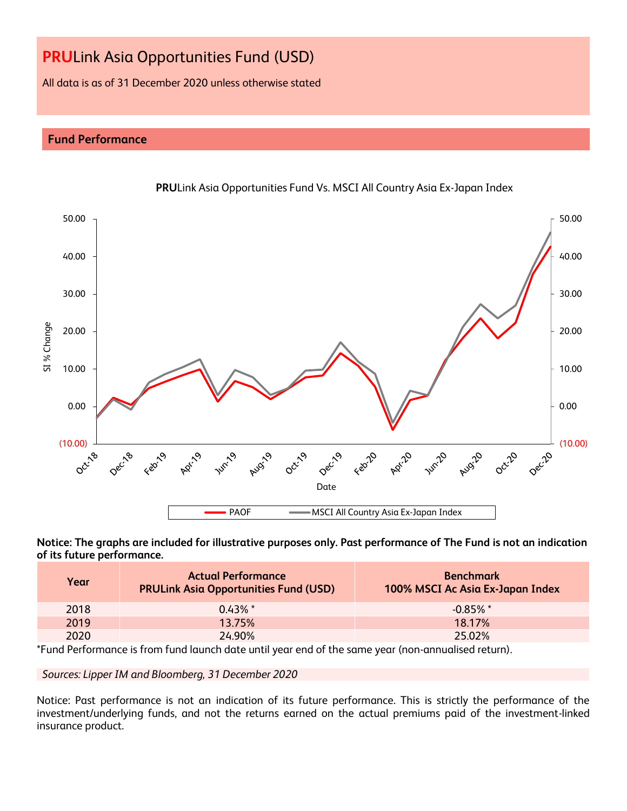All data is as of 31 December 2020 unless otherwise stated

# **Fund Performance**



**PRU**Link Asia Opportunities Fund Vs. MSCI All Country Asia Ex-Japan Index

**Notice: The graphs are included for illustrative purposes only. Past performance of The Fund is not an indication of its future performance.**

| Year | <b>Actual Performance</b><br><b>PRULink Asia Opportunities Fund (USD)</b> | <b>Benchmark</b><br>100% MSCI Ac Asia Ex-Japan Index |
|------|---------------------------------------------------------------------------|------------------------------------------------------|
| 2018 | $0.43\%$ *                                                                | $-0.85\%$ *                                          |
| 2019 | 13.75%                                                                    | 18 17%                                               |
| 2020 | 24.90%                                                                    | 25.02%                                               |

\*Fund Performance is from fund launch date until year end of the same year (non-annualised return).

*Sources: Lipper IM and Bloomberg, 31 December 2020*

Notice: Past performance is not an indication of its future performance. This is strictly the performance of the investment/underlying funds, and not the returns earned on the actual premiums paid of the investment-linked insurance product.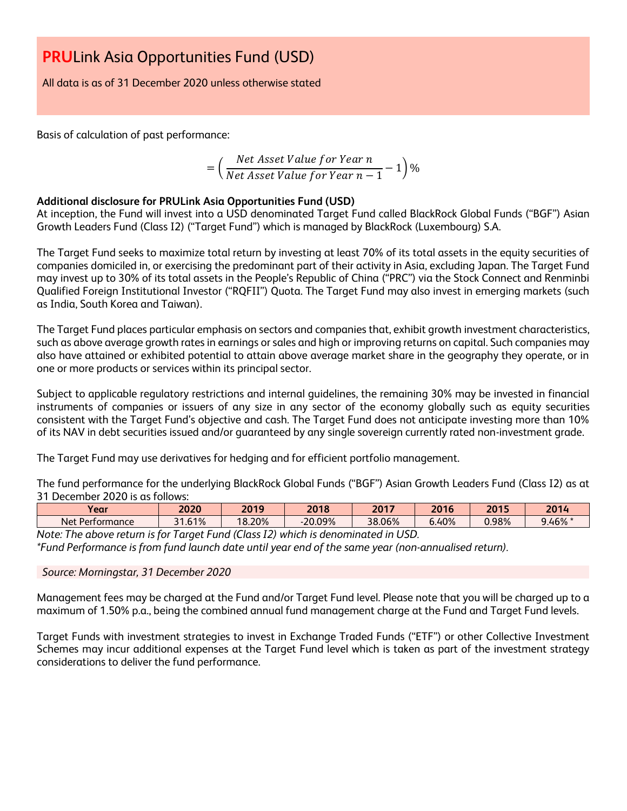All data is as of 31 December 2020 unless otherwise stated

Basis of calculation of past performance:

$$
= \left(\frac{Net\ Asset\ Value\ for\ Year\ n}{Net\ Asset\ Value\ for\ Year\ n-1} - 1\right)\%
$$

# **Additional disclosure for PRULink Asia Opportunities Fund (USD)**

At inception, the Fund will invest into a USD denominated Target Fund called BlackRock Global Funds ("BGF") Asian Growth Leaders Fund (Class I2) ("Target Fund") which is managed by BlackRock (Luxembourg) S.A.

The Target Fund seeks to maximize total return by investing at least 70% of its total assets in the equity securities of companies domiciled in, or exercising the predominant part of their activity in Asia, excluding Japan. The Target Fund may invest up to 30% of its total assets in the People's Republic of China ("PRC") via the Stock Connect and Renminbi Qualified Foreign Institutional Investor ("RQFII") Quota. The Target Fund may also invest in emerging markets (such as India, South Korea and Taiwan).

The Target Fund places particular emphasis on sectors and companies that, exhibit growth investment characteristics, such as above average growth rates in earnings or sales and high or improving returns on capital. Such companies may also have attained or exhibited potential to attain above average market share in the geography they operate, or in one or more products or services within its principal sector.

Subject to applicable regulatory restrictions and internal guidelines, the remaining 30% may be invested in financial instruments of companies or issuers of any size in any sector of the economy globally such as equity securities consistent with the Target Fund's objective and cash. The Target Fund does not anticipate investing more than 10% of its NAV in debt securities issued and/or guaranteed by any single sovereign currently rated non-investment grade.

The Target Fund may use derivatives for hedging and for efficient portfolio management.

The fund performance for the underlying BlackRock Global Funds ("BGF") Asian Growth Leaders Fund (Class I2) as at 31 December 2020 is as follows:

| Year                    | 2020                                  | 2019         | 2018      | 2017   | 2016  | 2015  | 2014     |
|-------------------------|---------------------------------------|--------------|-----------|--------|-------|-------|----------|
| -<br>Net<br>Performance | 61%<br>$\mathbf{A}$<br>$\blacksquare$ | 18.20%<br>10 | $-20.09%$ | 38.06% | 6.40% | 0.98% | $3.46\%$ |

*Note: The above return is for Target Fund (Class I2) which is denominated in USD.*

*\*Fund Performance is from fund launch date until year end of the same year (non-annualised return).*

# *Source: Morningstar, 31 December 2020*

Management fees may be charged at the Fund and/or Target Fund level. Please note that you will be charged up to a maximum of 1.50% p.a., being the combined annual fund management charge at the Fund and Target Fund levels.

Target Funds with investment strategies to invest in Exchange Traded Funds ("ETF") or other Collective Investment Schemes may incur additional expenses at the Target Fund level which is taken as part of the investment strategy considerations to deliver the fund performance.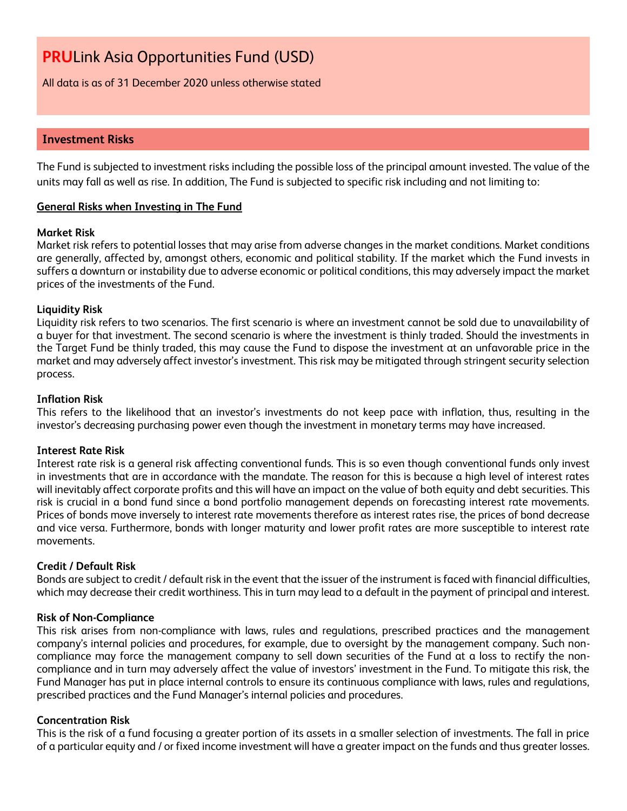All data is as of 31 December 2020 unless otherwise stated

# **Investment Risks**

The Fund is subjected to investment risks including the possible loss of the principal amount invested. The value of the units may fall as well as rise. In addition, The Fund is subjected to specific risk including and not limiting to:

# **General Risks when Investing in The Fund**

# **Market Risk**

Market risk refers to potential losses that may arise from adverse changes in the market conditions. Market conditions are generally, affected by, amongst others, economic and political stability. If the market which the Fund invests in suffers a downturn or instability due to adverse economic or political conditions, this may adversely impact the market prices of the investments of the Fund.

# **Liquidity Risk**

Liquidity risk refers to two scenarios. The first scenario is where an investment cannot be sold due to unavailability of a buyer for that investment. The second scenario is where the investment is thinly traded. Should the investments in the Target Fund be thinly traded, this may cause the Fund to dispose the investment at an unfavorable price in the market and may adversely affect investor's investment. This risk may be mitigated through stringent security selection process.

# **Inflation Risk**

This refers to the likelihood that an investor's investments do not keep pace with inflation, thus, resulting in the investor's decreasing purchasing power even though the investment in monetary terms may have increased.

# **Interest Rate Risk**

Interest rate risk is a general risk affecting conventional funds. This is so even though conventional funds only invest in investments that are in accordance with the mandate. The reason for this is because a high level of interest rates will inevitably affect corporate profits and this will have an impact on the value of both equity and debt securities. This risk is crucial in a bond fund since a bond portfolio management depends on forecasting interest rate movements. Prices of bonds move inversely to interest rate movements therefore as interest rates rise, the prices of bond decrease and vice versa. Furthermore, bonds with longer maturity and lower profit rates are more susceptible to interest rate movements.

# **Credit / Default Risk**

Bonds are subject to credit / default risk in the event that the issuer of the instrument is faced with financial difficulties, which may decrease their credit worthiness. This in turn may lead to a default in the payment of principal and interest.

# **Risk of Non-Compliance**

This risk arises from non-compliance with laws, rules and regulations, prescribed practices and the management company's internal policies and procedures, for example, due to oversight by the management company. Such noncompliance may force the management company to sell down securities of the Fund at a loss to rectify the noncompliance and in turn may adversely affect the value of investors' investment in the Fund. To mitigate this risk, the Fund Manager has put in place internal controls to ensure its continuous compliance with laws, rules and regulations, prescribed practices and the Fund Manager's internal policies and procedures.

# **Concentration Risk**

This is the risk of a fund focusing a greater portion of its assets in a smaller selection of investments. The fall in price of a particular equity and / or fixed income investment will have a greater impact on the funds and thus greater losses.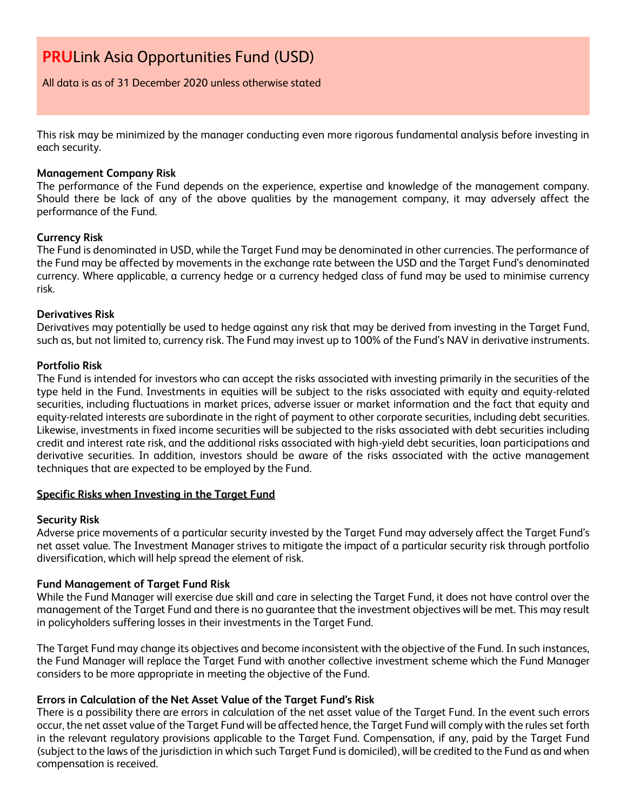All data is as of 31 December 2020 unless otherwise stated

This risk may be minimized by the manager conducting even more rigorous fundamental analysis before investing in each security.

# **Management Company Risk**

The performance of the Fund depends on the experience, expertise and knowledge of the management company. Should there be lack of any of the above qualities by the management company, it may adversely affect the performance of the Fund.

# **Currency Risk**

The Fund is denominated in USD, while the Target Fund may be denominated in other currencies. The performance of the Fund may be affected by movements in the exchange rate between the USD and the Target Fund's denominated currency. Where applicable, a currency hedge or a currency hedged class of fund may be used to minimise currency risk.

# **Derivatives Risk**

Derivatives may potentially be used to hedge against any risk that may be derived from investing in the Target Fund, such as, but not limited to, currency risk. The Fund may invest up to 100% of the Fund's NAV in derivative instruments.

# **Portfolio Risk**

The Fund is intended for investors who can accept the risks associated with investing primarily in the securities of the type held in the Fund. Investments in equities will be subject to the risks associated with equity and equity-related securities, including fluctuations in market prices, adverse issuer or market information and the fact that equity and equity-related interests are subordinate in the right of payment to other corporate securities, including debt securities. Likewise, investments in fixed income securities will be subjected to the risks associated with debt securities including credit and interest rate risk, and the additional risks associated with high-yield debt securities, loan participations and derivative securities. In addition, investors should be aware of the risks associated with the active management techniques that are expected to be employed by the Fund.

# **Specific Risks when Investing in the Target Fund**

# **Security Risk**

Adverse price movements of a particular security invested by the Target Fund may adversely affect the Target Fund's net asset value. The Investment Manager strives to mitigate the impact of a particular security risk through portfolio diversification, which will help spread the element of risk.

# **Fund Management of Target Fund Risk**

While the Fund Manager will exercise due skill and care in selecting the Target Fund, it does not have control over the management of the Target Fund and there is no guarantee that the investment objectives will be met. This may result in policyholders suffering losses in their investments in the Target Fund.

The Target Fund may change its objectives and become inconsistent with the objective of the Fund. In such instances, the Fund Manager will replace the Target Fund with another collective investment scheme which the Fund Manager considers to be more appropriate in meeting the objective of the Fund.

# **Errors in Calculation of the Net Asset Value of the Target Fund's Risk**

There is a possibility there are errors in calculation of the net asset value of the Target Fund. In the event such errors occur, the net asset value of the Target Fund will be affected hence, the Target Fund will comply with the rules set forth in the relevant regulatory provisions applicable to the Target Fund. Compensation, if any, paid by the Target Fund (subject to the laws of the jurisdiction in which such Target Fund is domiciled), will be credited to the Fund as and when compensation is received.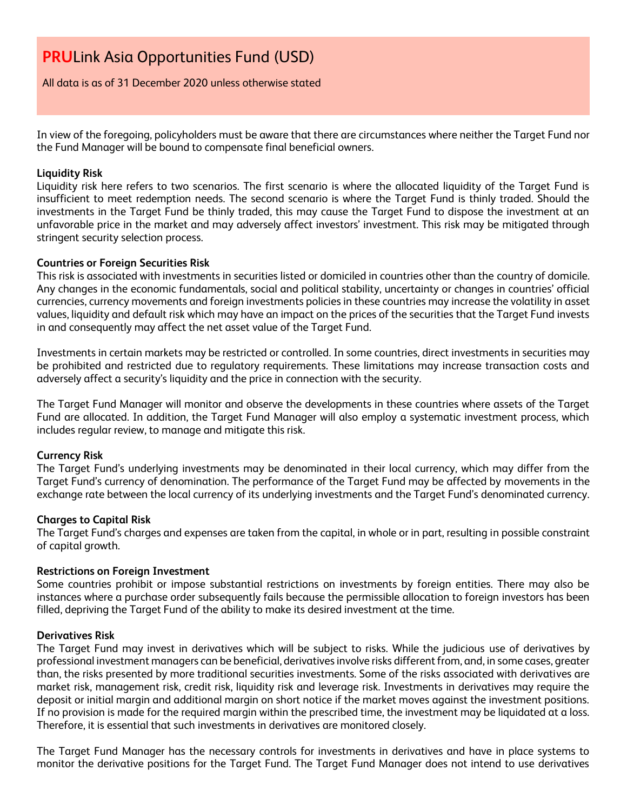All data is as of 31 December 2020 unless otherwise stated

In view of the foregoing, policyholders must be aware that there are circumstances where neither the Target Fund nor the Fund Manager will be bound to compensate final beneficial owners.

### **Liquidity Risk**

Liquidity risk here refers to two scenarios. The first scenario is where the allocated liquidity of the Target Fund is insufficient to meet redemption needs. The second scenario is where the Target Fund is thinly traded. Should the investments in the Target Fund be thinly traded, this may cause the Target Fund to dispose the investment at an unfavorable price in the market and may adversely affect investors' investment. This risk may be mitigated through stringent security selection process.

### **Countries or Foreign Securities Risk**

This risk is associated with investments in securities listed or domiciled in countries other than the country of domicile. Any changes in the economic fundamentals, social and political stability, uncertainty or changes in countries' official currencies, currency movements and foreign investments policies in these countries may increase the volatility in asset values, liquidity and default risk which may have an impact on the prices of the securities that the Target Fund invests in and consequently may affect the net asset value of the Target Fund.

Investments in certain markets may be restricted or controlled. In some countries, direct investments in securities may be prohibited and restricted due to regulatory requirements. These limitations may increase transaction costs and adversely affect a security's liquidity and the price in connection with the security.

The Target Fund Manager will monitor and observe the developments in these countries where assets of the Target Fund are allocated. In addition, the Target Fund Manager will also employ a systematic investment process, which includes regular review, to manage and mitigate this risk.

# **Currency Risk**

The Target Fund's underlying investments may be denominated in their local currency, which may differ from the Target Fund's currency of denomination. The performance of the Target Fund may be affected by movements in the exchange rate between the local currency of its underlying investments and the Target Fund's denominated currency.

#### **Charges to Capital Risk**

The Target Fund's charges and expenses are taken from the capital, in whole or in part, resulting in possible constraint of capital growth.

#### **Restrictions on Foreign Investment**

Some countries prohibit or impose substantial restrictions on investments by foreign entities. There may also be instances where a purchase order subsequently fails because the permissible allocation to foreign investors has been filled, depriving the Target Fund of the ability to make its desired investment at the time.

#### **Derivatives Risk**

The Target Fund may invest in derivatives which will be subject to risks. While the judicious use of derivatives by professional investment managers can be beneficial, derivatives involve risks different from, and, in some cases, greater than, the risks presented by more traditional securities investments. Some of the risks associated with derivatives are market risk, management risk, credit risk, liquidity risk and leverage risk. Investments in derivatives may require the deposit or initial margin and additional margin on short notice if the market moves against the investment positions. If no provision is made for the required margin within the prescribed time, the investment may be liquidated at a loss. Therefore, it is essential that such investments in derivatives are monitored closely.

The Target Fund Manager has the necessary controls for investments in derivatives and have in place systems to monitor the derivative positions for the Target Fund. The Target Fund Manager does not intend to use derivatives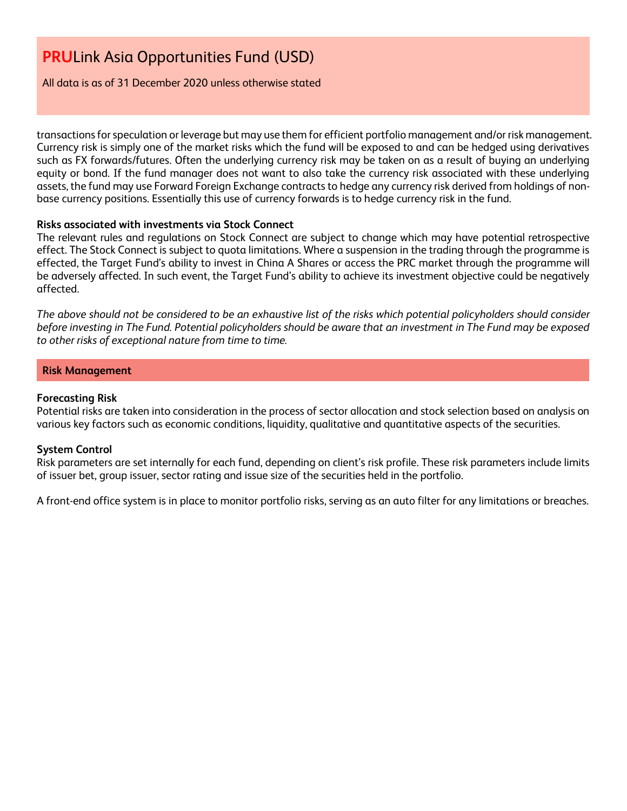All data is as of 31 December 2020 unless otherwise stated

transactions for speculation or leverage but may use them for efficient portfolio management and/or risk management. Currency risk is simply one of the market risks which the fund will be exposed to and can be hedged using derivatives such as FX forwards/futures. Often the underlying currency risk may be taken on as a result of buying an underlying equity or bond. If the fund manager does not want to also take the currency risk associated with these underlying assets, the fund may use Forward Foreign Exchange contracts to hedge any currency risk derived from holdings of nonbase currency positions. Essentially this use of currency forwards is to hedge currency risk in the fund.

### **Risks associated with investments via Stock Connect**

The relevant rules and regulations on Stock Connect are subject to change which may have potential retrospective effect. The Stock Connect is subject to quota limitations. Where a suspension in the trading through the programme is effected, the Target Fund's ability to invest in China A Shares or access the PRC market through the programme will be adversely affected. In such event, the Target Fund's ability to achieve its investment objective could be negatively affected.

*The above should not be considered to be an exhaustive list of the risks which potential policyholders should consider before investing in The Fund. Potential policyholders should be aware that an investment in The Fund may be exposed to other risks of exceptional nature from time to time.*

### **Risk Management**

### **Forecasting Risk**

Potential risks are taken into consideration in the process of sector allocation and stock selection based on analysis on various key factors such as economic conditions, liquidity, qualitative and quantitative aspects of the securities.

# **System Control**

Risk parameters are set internally for each fund, depending on client's risk profile. These risk parameters include limits of issuer bet, group issuer, sector rating and issue size of the securities held in the portfolio.

A front-end office system is in place to monitor portfolio risks, serving as an auto filter for any limitations or breaches.